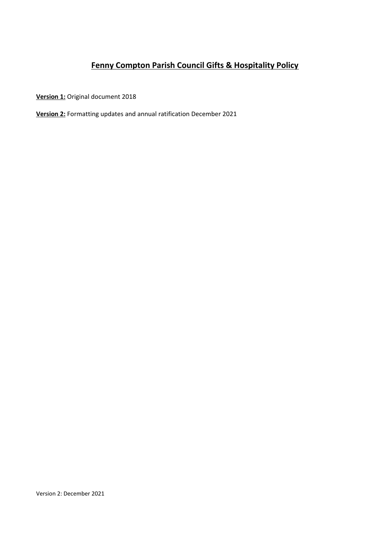# **Fenny Compton Parish Council Gifts & Hospitality Policy**

**Version 1:** Original document 2018

**Version 2:** Formatting updates and annual ratification December 2021

Version 2: December 2021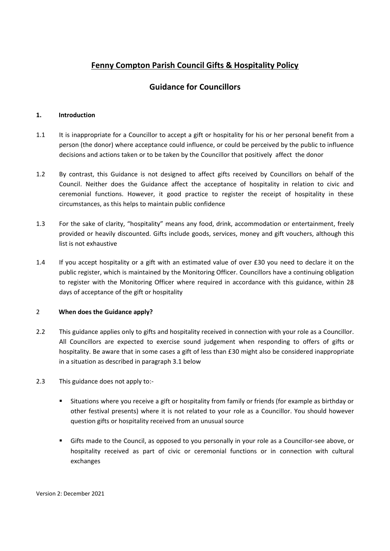# **Fenny Compton Parish Council Gifts & Hospitality Policy**

## **Guidance for Councillors**

### **1. Introduction**

- 1.1 It is inappropriate for a Councillor to accept a gift or hospitality for his or her personal benefit from a person (the donor) where acceptance could influence, or could be perceived by the public to influence decisions and actions taken or to be taken by the Councillor that positively affect the donor
- 1.2 By contrast, this Guidance is not designed to affect gifts received by Councillors on behalf of the Council. Neither does the Guidance affect the acceptance of hospitality in relation to civic and ceremonial functions. However, it good practice to register the receipt of hospitality in these circumstances, as this helps to maintain public confidence
- 1.3 For the sake of clarity, "hospitality" means any food, drink, accommodation or entertainment, freely provided or heavily discounted. Gifts include goods, services, money and gift vouchers, although this list is not exhaustive
- 1.4 If you accept hospitality or a gift with an estimated value of over £30 you need to declare it on the public register, which is maintained by the Monitoring Officer. Councillors have a continuing obligation to register with the Monitoring Officer where required in accordance with this guidance, within 28 days of acceptance of the gift or hospitality

### 2 **When does the Guidance apply?**

- 2.2 This guidance applies only to gifts and hospitality received in connection with your role as a Councillor. All Councillors are expected to exercise sound judgement when responding to offers of gifts or hospitality. Be aware that in some cases a gift of less than £30 might also be considered inappropriate in a situation as described in paragraph 3.1 below
- 2.3 This guidance does not apply to:-
	- Situations where you receive a gift or hospitality from family or friends (for example as birthday or other festival presents) where it is not related to your role as a Councillor. You should however question gifts or hospitality received from an unusual source
	- Gifts made to the Council, as opposed to you personally in your role as a Councillor-see above, or hospitality received as part of civic or ceremonial functions or in connection with cultural exchanges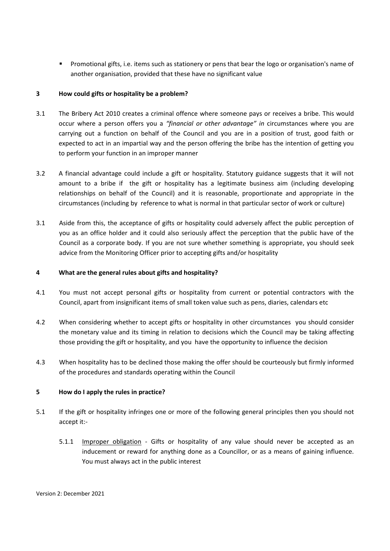Promotional gifts, i.e. items such as stationery or pens that bear the logo or organisation's name of another organisation, provided that these have no significant value

### **3 How could gifts or hospitality be a problem?**

- 3.1 The Bribery Act 2010 creates a criminal offence where someone pays or receives a bribe. This would occur where a person offers you a *"financial or other advantage" in* circumstances where you are carrying out a function on behalf of the Council and you are in a position of trust, good faith or expected to act in an impartial way and the person offering the bribe has the intention of getting you to perform your function in an improper manner
- 3.2 A financial advantage could include a gift or hospitality. Statutory guidance suggests that it will not amount to a bribe if the gift or hospitality has a legitimate business aim (including developing relationships on behalf of the Council) and it is reasonable, proportionate and appropriate in the circumstances (including by reference to what is normal in that particular sector of work or culture)
- 3.1 Aside from this, the acceptance of gifts or hospitality could adversely affect the public perception of you as an office holder and it could also seriously affect the perception that the public have of the Council as a corporate body. If you are not sure whether something is appropriate, you should seek advice from the Monitoring Officer prior to accepting gifts and/or hospitality

#### **4 What are the general rules about gifts and hospitality?**

- 4.1 You must not accept personal gifts or hospitality from current or potential contractors with the Council, apart from insignificant items of small token value such as pens, diaries, calendars etc
- 4.2 When considering whether to accept gifts or hospitality in other circumstances you should consider the monetary value and its timing in relation to decisions which the Council may be taking affecting those providing the gift or hospitality, and you have the opportunity to influence the decision
- 4.3 When hospitality has to be declined those making the offer should be courteously but firmly informed of the procedures and standards operating within the Council

#### **5 How do I apply the rules in practice?**

- 5.1 If the gift or hospitality infringes one or more of the following general principles then you should not accept it:-
	- 5.1.1 Improper obligation Gifts or hospitality of any value should never be accepted as an inducement or reward for anything done as a Councillor, or as a means of gaining influence. You must always act in the public interest